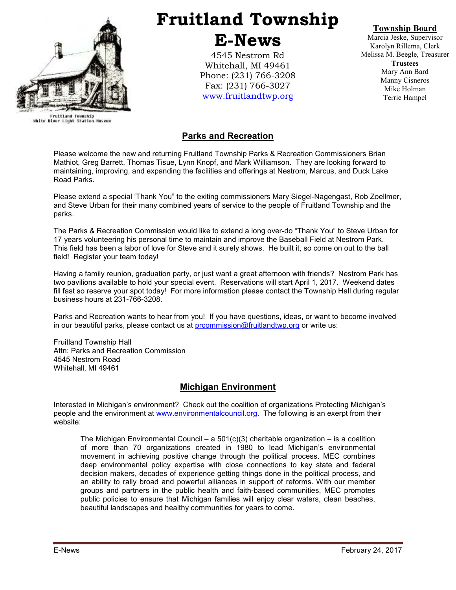

Fruitland Township<br>White River Light Station Museum

# Fruitland Township E-News

4545 Nestrom Rd Whitehall, MI 49461 Phone: (231) 766-3208 Fax: (231) 766-3027 www.fruitlandtwp.org

Township Board

Marcia Jeske, Supervisor Karolyn Rillema, Clerk Melissa M. Beegle, Treasurer **Trustees** Mary Ann Bard Manny Cisneros Mike Holman Terrie Hampel

## Parks and Recreation

Please welcome the new and returning Fruitland Township Parks & Recreation Commissioners Brian Mathiot, Greg Barrett, Thomas Tisue, Lynn Knopf, and Mark Williamson. They are looking forward to maintaining, improving, and expanding the facilities and offerings at Nestrom, Marcus, and Duck Lake Road Parks.

Please extend a special 'Thank You" to the exiting commissioners Mary Siegel-Nagengast, Rob Zoellmer, and Steve Urban for their many combined years of service to the people of Fruitland Township and the parks.

The Parks & Recreation Commission would like to extend a long over-do "Thank You" to Steve Urban for 17 years volunteering his personal time to maintain and improve the Baseball Field at Nestrom Park. This field has been a labor of love for Steve and it surely shows. He built it, so come on out to the ball field! Register your team today!

Having a family reunion, graduation party, or just want a great afternoon with friends? Nestrom Park has two pavilions available to hold your special event. Reservations will start April 1, 2017. Weekend dates fill fast so reserve your spot today! For more information please contact the Township Hall during regular business hours at 231-766-3208.

Parks and Recreation wants to hear from you! If you have questions, ideas, or want to become involved in our beautiful parks, please contact us at prcommission@fruitlandtwp.org or write us:

Fruitland Township Hall Attn: Parks and Recreation Commission 4545 Nestrom Road Whitehall, MI 49461

## Michigan Environment

Interested in Michigan's environment? Check out the coalition of organizations Protecting Michigan's people and the environment at www.environmentalcouncil.org. The following is an exerpt from their website:

The Michigan Environmental Council – a  $501(c)(3)$  charitable organization – is a coalition of more than 70 organizations created in 1980 to lead Michigan's environmental movement in achieving positive change through the political process. MEC combines deep environmental policy expertise with close connections to key state and federal decision makers, decades of experience getting things done in the political process, and an ability to rally broad and powerful alliances in support of reforms. With our member groups and partners in the public health and faith-based communities, MEC promotes public policies to ensure that Michigan families will enjoy clear waters, clean beaches, beautiful landscapes and healthy communities for years to come.